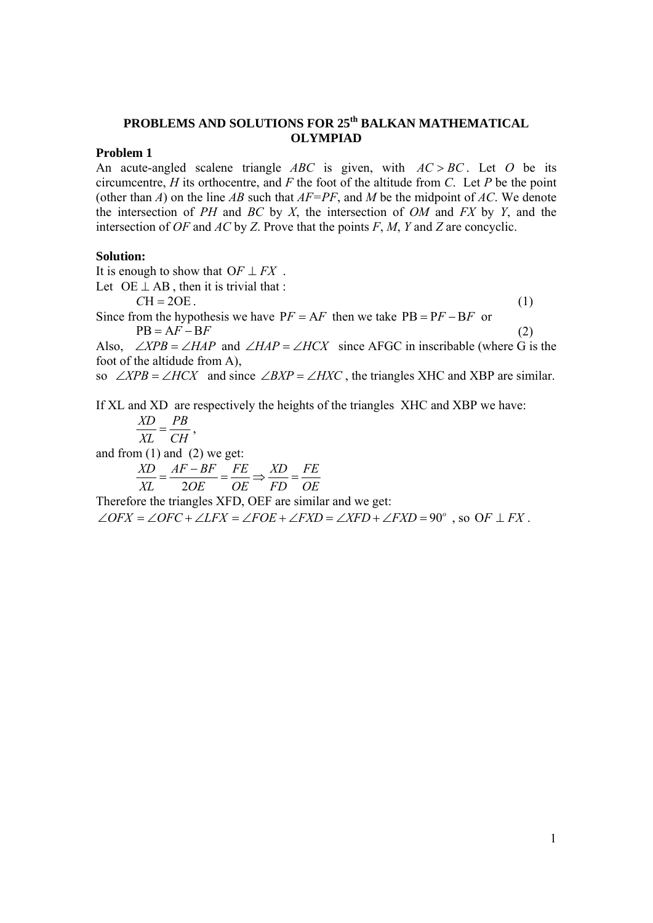# **PROBLEMS AND SOLUTIONS FOR 25th BALKAN MATHEMATICAL OLYMPIAD**

# **Problem 1**

An acute-angled scalene triangle  $ABC$  is given, with  $AC > BC$ . Let O be its circumcentre, *Η* its orthocentre, and *F* the foot of the altitude from *C*. Let *P* be the point (other than *A*) on the line *ΑΒ* such that *ΑF=ΡF*, and *M* be the midpoint of *ΑC*. We denote the intersection of *PH* and *BC* by *X*, the intersection of *OM* and *FX* by *Y*, and the intersection of *OF* and *AC* by *Z*. Prove that the points *F*, *M*, *Y* and *Z* are concyclic.

## **Solution:**

It is enough to show that  $OF \perp FX$ . Let  $OE \perp AB$ , then it is trivial that :  $CH = 2OE$ . (1) Since from the hypothesis we have  $PF = AF$  then we take  $PB = PF - BF$  or  $PB = AF - BF$  (2) Also,  $\angle XPB = \angle HAP$  and  $\angle HAP = \angle HCX$  since AFGC in inscribable (where G is the foot of the altidude from A), so  $\angle XPB = \angle HCX$  and since  $\angle BXP = \angle HXC$ , the triangles XHC and XBP are similar. If XL and XD are respectively the heights of the triangles XΗC and XΒΡ we have:  $\frac{XD}{XL} = \frac{PB}{CH}$ , and from  $(1)$  and  $(2)$  we get:  $\frac{XD}{XL} = \frac{AF - BF}{2OE} = \frac{FE}{OE} \Rightarrow \frac{XD}{FD} = \frac{FE}{OE}$ *XL OE OE FD OE*  $=\frac{AF-BF}{2\Omega}=\frac{FE}{2\Omega} \Rightarrow \frac{XD}{ID}$ 

Therefore the triangles XFD, OEF are similar and we get:

 $\angle$ OFX =  $\angle$ OFC +  $\angle$ LFX =  $\angle$ FOE +  $\angle$ FXD =  $\angle$ XFD +  $\angle$ FXD = 90°, so OF  $\perp$  FX.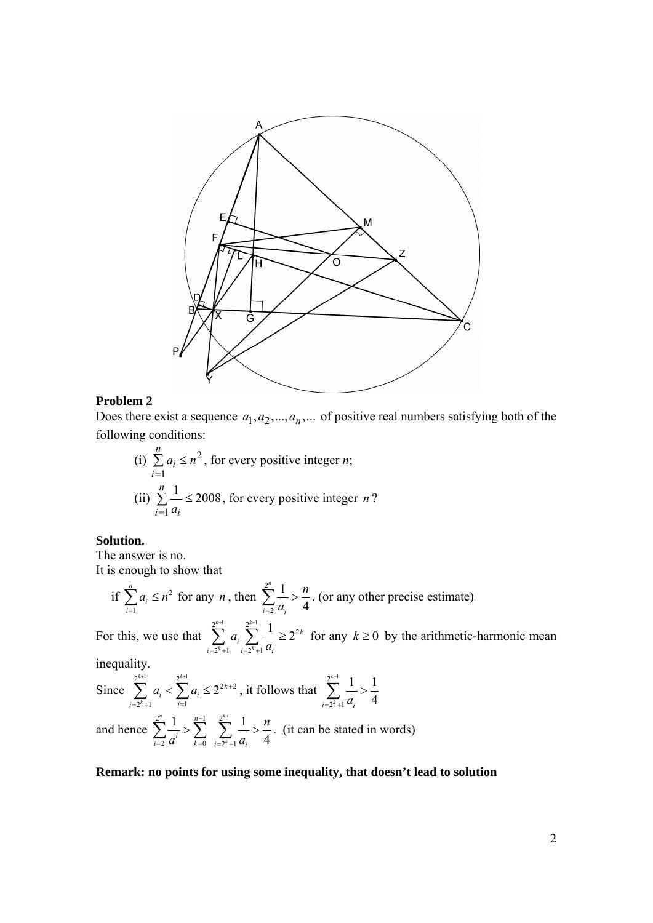

### **Problem 2**

Does there exist a sequence  $a_1, a_2, ..., a_n, ...$  of positive real numbers satisfying both of the following conditions:

(i) 
$$
\sum_{i=1}^{n} a_i \le n^2
$$
, for every positive integer *n*;  
\n(ii)  $\sum_{i=1}^{n} \frac{1}{a_i} \le 2008$ , for every positive integer *n* ?

### **Solution.**

The answer is no. It is enough to show that

if  $\sum a_i \leq n^2$ 1 *n i i*  $a_i \leq n$  $\sum_{i=1}^{n} a_i \leq n^2$  for any *n*, then  $\sum_{i=1}^{n} a_i$ 2 1 4 *n*  $i=2$   $u_i$  $\sum_{i=2}^{2^n} \frac{1}{a_i} > \frac{n}{4}$ . (or any other precise estimate)  $+1$   $\gamma k$ +

For this, we use that  $\sum_{k=1}^{2^{k+1}}$   $\sum_{k=1}^{2^{k+1}}$   $\sum_{k=1}^{2^{k+1}}$  $2^{k}+1$   $i=2^{k}+1$  $\sum_{i=1}^{k+1} a_i \sum_{i=1}^{2^{k+1}} \frac{1}{i} \geq 2$  $k_{11}$   $\ldots$   $\lambda^{k}$ *k i*  $i = 2^k + 1$   $i = 2^k + 1$   $u_i$ *a a*  $\sum_{k=2^{k}+1} a_k \sum_{i=2^{k}+1} \frac{1}{a_i} \geq 2^{2k}$  for any  $k \geq 0$  by the arithmetic-harmonic mean

inequality.

Since  $\sum^{2^{k+1}}$   $\sum_{k=1}^{2^{k+1}}$   $\sum_{k=1}^{2^{k+2}}$  $2^k + 1$   $i=1$ 2  $k+1$   $\gamma k$ *k k*  $i \setminus \bigcup_i u_i$  $i = 2^k + 1$  *i*  $a_i < \sum a$  $+1$   $\gamma^{k+1}$ +  $\sum_{i=2^{k}+1}^{2^{k+1}} a_i < \sum_{i=1}^{2^{k+1}} a_i \le 2^{2k+2}$ , it follows that  $\sum_{i=2^{k}+1}^{2^{k+1}} a_i$  $2^{k}+1$  $1 \t1$ 4 *k*  $\sum_{i=2^k+1} a_i$ +  $\sum_{i=2^k+1} \frac{1}{a_i} > \frac{1}{4}$ and hence  $2^n$  1  $n-1$   $2^{k+1}$ 2  $u = k=0$   $i=2^k+1$  $1 \tfrac{n-1}{n} \tfrac{2^{k+1}}{n} 1$ 4  $n \rightarrow 1$   $2^k$ *k n*  $\sum_{i=2}^{\infty} a^i$   $\sum_{k=0}^{\infty} \sum_{i=2^k+1}^{\infty} a_i$ *n*  $a^{i}$   $\sum_{k=0}^{\infty}$   $\sum_{i=2^{k}+1}^{\infty} a^{i}$  $-1$   $2^{k+1}$  $\sum_{i=2}^{\infty} \frac{1}{a^i} > \sum_{k=0}^{\infty} \sum_{i=2^k+1} \frac{1}{a_i} > \frac{n}{4}$ . (it can be stated in words)

## **Remark: no points for using some inequality, that doesn't lead to solution**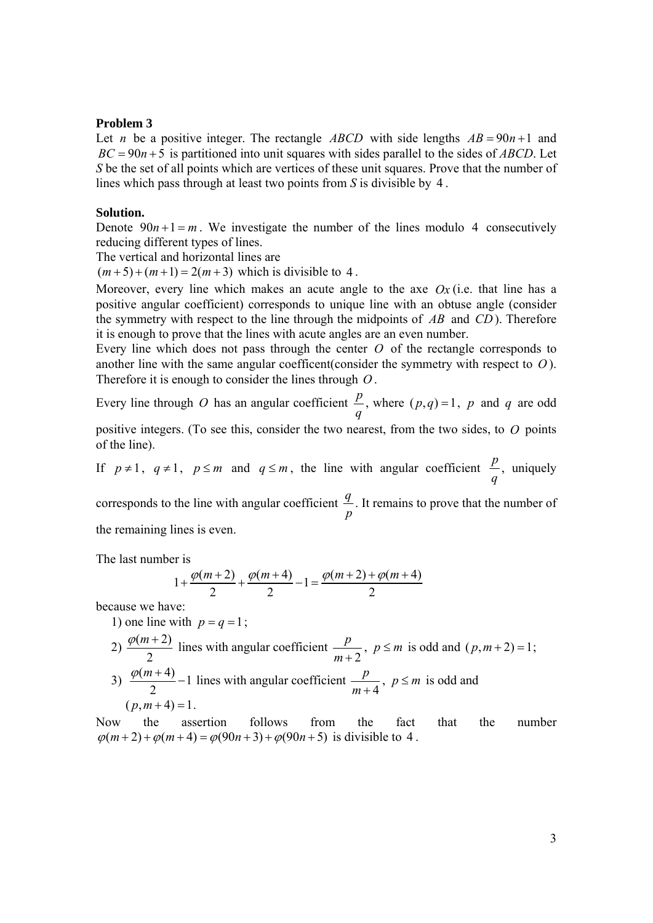#### **Problem 3**

Let *n* be a positive integer. The rectangle *ABCD* with side lengths  $AB = 90n + 1$  and  $BC = 90n + 5$  is partitioned into unit squares with sides parallel to the sides of *ABCD*. Let *S* be the set of all points which are vertices of these unit squares. Prove that the number of lines which pass through at least two points from *S* is divisible by 4 .

# **Solution.**

Denote  $90n+1 = m$ . We investigate the number of the lines modulo 4 consecutively reducing different types of lines.

The vertical and horizontal lines are

 $(m+5)+(m+1)=2(m+3)$  which is divisible to 4.

Moreover, every line which makes an acute angle to the axe *Ox* (i.e. that line has a positive angular coefficient) corresponds to unique line with an obtuse angle (consider the symmetry with respect to the line through the midpoints of *AB* and *CD* ). Therefore it is enough to prove that the lines with acute angles are an even number.

Every line which does not pass through the center *O* of the rectangle corresponds to another line with the same angular coefficent(consider the symmetry with respect to *O* ). Therefore it is enough to consider the lines through *O* .

Every line through  $O$  has an angular coefficient  $\frac{p}{q}$ *q* , where  $(p,q) = 1$ , *p* and *q* are odd positive integers. (To see this, consider the two nearest, from the two sides, to *O* points of the line).

If  $p \neq 1$ ,  $q \neq 1$ ,  $p \leq m$  and  $q \leq m$ , the line with angular coefficient  $\frac{p}{q}$ *q* , uniquely

corresponds to the line with angular coefficient *<sup>q</sup> p* . It remains to prove that the number of the remaining lines is even.

The last number is

$$
1 + \frac{\varphi(m+2)}{2} + \frac{\varphi(m+4)}{2} - 1 = \frac{\varphi(m+2) + \varphi(m+4)}{2}
$$

because we have:

1) one line with  $p = q = 1$ ;

2)  $\frac{\varphi(m+2)}{2}$  $\frac{\varphi(m+2)}{2}$  lines with angular coefficient  $\frac{p}{m+2}$ ,  $p \le m$  is odd and  $(p,m+2)=1$ ;

3)  $\frac{\varphi(m+4)}{2} - 1$  $\frac{\varphi(m+4)}{2}$  – 1 lines with angular coefficient  $\frac{p}{m+4}$ ,  $p \le m$  is odd and  $(p, m + 4) = 1$ .

Now the assertion follows from the fact that the number  $\varphi(m+2) + \varphi(m+4) = \varphi(90n+3) + \varphi(90n+5)$  is divisible to 4.